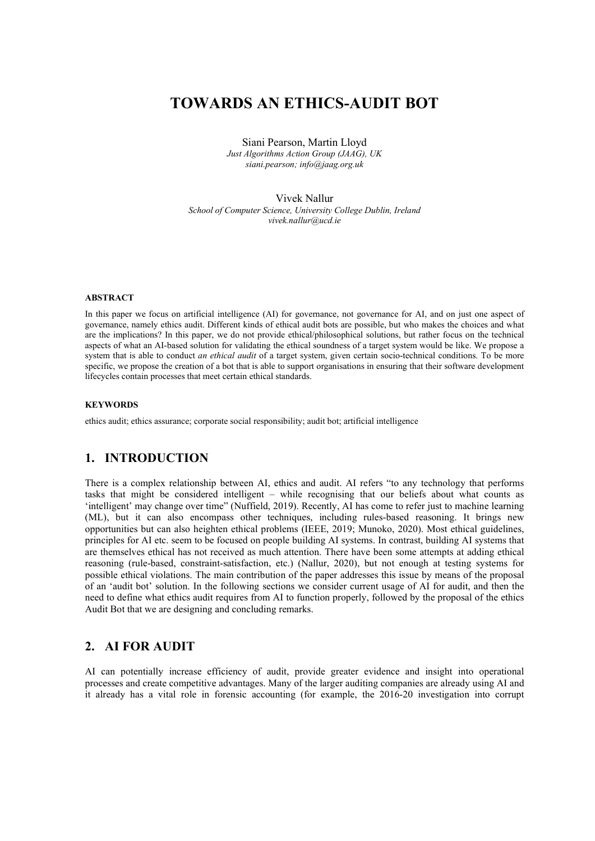# TOWARDS AN ETHICS-AUDIT BOT

Siani Pearson, Martin Lloyd Just Algorithms Action Group (JAAG), UK siani.pearson; info@jaag.org.uk

Vivek Nallur School of Computer Science, University College Dublin, Ireland vivek.nallur@ucd.ie

#### ABSTRACT

In this paper we focus on artificial intelligence (AI) for governance, not governance for AI, and on just one aspect of governance, namely ethics audit. Different kinds of ethical audit bots are possible, but who makes the choices and what are the implications? In this paper, we do not provide ethical/philosophical solutions, but rather focus on the technical aspects of what an AI-based solution for validating the ethical soundness of a target system would be like. We propose a system that is able to conduct an ethical audit of a target system, given certain socio-technical conditions. To be more specific, we propose the creation of a bot that is able to support organisations in ensuring that their software development lifecycles contain processes that meet certain ethical standards.

#### **KEYWORDS**

ethics audit; ethics assurance; corporate social responsibility; audit bot; artificial intelligence

# 1. INTRODUCTION

There is a complex relationship between AI, ethics and audit. AI refers "to any technology that performs tasks that might be considered intelligent – while recognising that our beliefs about what counts as 'intelligent' may change over time" (Nuffield, 2019). Recently, AI has come to refer just to machine learning (ML), but it can also encompass other techniques, including rules-based reasoning. It brings new opportunities but can also heighten ethical problems (IEEE, 2019; Munoko, 2020). Most ethical guidelines, principles for AI etc. seem to be focused on people building AI systems. In contrast, building AI systems that are themselves ethical has not received as much attention. There have been some attempts at adding ethical reasoning (rule-based, constraint-satisfaction, etc.) (Nallur, 2020), but not enough at testing systems for possible ethical violations. The main contribution of the paper addresses this issue by means of the proposal of an 'audit bot' solution. In the following sections we consider current usage of AI for audit, and then the need to define what ethics audit requires from AI to function properly, followed by the proposal of the ethics Audit Bot that we are designing and concluding remarks.

# 2. AI FOR AUDIT

AI can potentially increase efficiency of audit, provide greater evidence and insight into operational processes and create competitive advantages. Many of the larger auditing companies are already using AI and it already has a vital role in forensic accounting (for example, the 2016-20 investigation into corrupt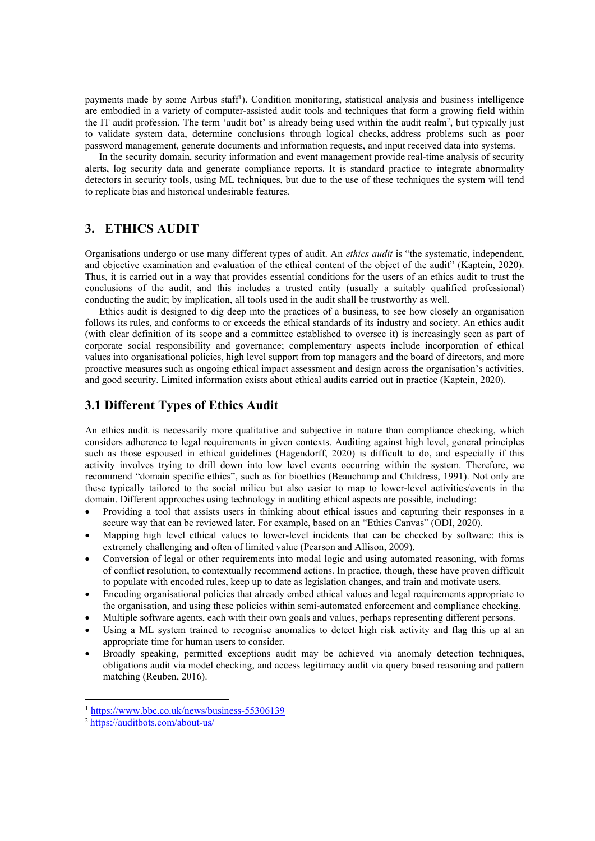payments made by some Airbus staff<sup>1</sup>). Condition monitoring, statistical analysis and business intelligence are embodied in a variety of computer-assisted audit tools and techniques that form a growing field within the IT audit profession. The term 'audit bot' is already being used within the audit realm<sup>2</sup>, but typically just to validate system data, determine conclusions through logical checks, address problems such as poor password management, generate documents and information requests, and input received data into systems.

In the security domain, security information and event management provide real-time analysis of security alerts, log security data and generate compliance reports. It is standard practice to integrate abnormality detectors in security tools, using ML techniques, but due to the use of these techniques the system will tend to replicate bias and historical undesirable features.

# 3. ETHICS AUDIT

Organisations undergo or use many different types of audit. An ethics audit is "the systematic, independent, and objective examination and evaluation of the ethical content of the object of the audit" (Kaptein, 2020). Thus, it is carried out in a way that provides essential conditions for the users of an ethics audit to trust the conclusions of the audit, and this includes a trusted entity (usually a suitably qualified professional) conducting the audit; by implication, all tools used in the audit shall be trustworthy as well.

Ethics audit is designed to dig deep into the practices of a business, to see how closely an organisation follows its rules, and conforms to or exceeds the ethical standards of its industry and society. An ethics audit (with clear definition of its scope and a committee established to oversee it) is increasingly seen as part of corporate social responsibility and governance; complementary aspects include incorporation of ethical values into organisational policies, high level support from top managers and the board of directors, and more proactive measures such as ongoing ethical impact assessment and design across the organisation's activities, and good security. Limited information exists about ethical audits carried out in practice (Kaptein, 2020).

### 3.1 Different Types of Ethics Audit

An ethics audit is necessarily more qualitative and subjective in nature than compliance checking, which considers adherence to legal requirements in given contexts. Auditing against high level, general principles such as those espoused in ethical guidelines (Hagendorff, 2020) is difficult to do, and especially if this activity involves trying to drill down into low level events occurring within the system. Therefore, we recommend "domain specific ethics", such as for bioethics (Beauchamp and Childress, 1991). Not only are these typically tailored to the social milieu but also easier to map to lower-level activities/events in the domain. Different approaches using technology in auditing ethical aspects are possible, including:

- Providing a tool that assists users in thinking about ethical issues and capturing their responses in a secure way that can be reviewed later. For example, based on an "Ethics Canvas" (ODI, 2020).
- Mapping high level ethical values to lower-level incidents that can be checked by software: this is extremely challenging and often of limited value (Pearson and Allison, 2009).
- Conversion of legal or other requirements into modal logic and using automated reasoning, with forms of conflict resolution, to contextually recommend actions. In practice, though, these have proven difficult to populate with encoded rules, keep up to date as legislation changes, and train and motivate users.
- Encoding organisational policies that already embed ethical values and legal requirements appropriate to the organisation, and using these policies within semi-automated enforcement and compliance checking.
- Multiple software agents, each with their own goals and values, perhaps representing different persons.
- Using a ML system trained to recognise anomalies to detect high risk activity and flag this up at an appropriate time for human users to consider.
- Broadly speaking, permitted exceptions audit may be achieved via anomaly detection techniques, obligations audit via model checking, and access legitimacy audit via query based reasoning and pattern matching (Reuben, 2016).

<sup>1</sup> https://www.bbc.co.uk/news/business-55306139

<sup>2</sup> https://auditbots.com/about-us/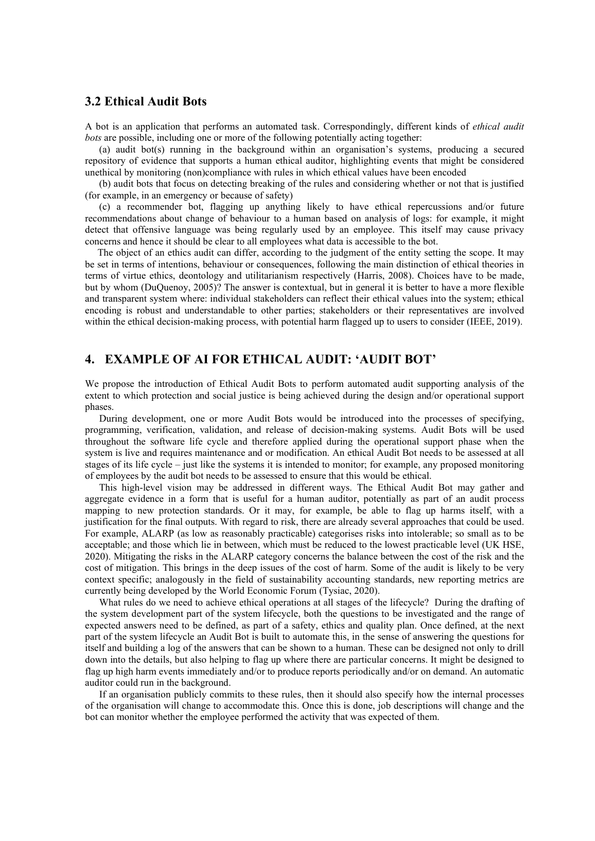### 3.2 Ethical Audit Bots

A bot is an application that performs an automated task. Correspondingly, different kinds of ethical audit bots are possible, including one or more of the following potentially acting together:

(a) audit bot(s) running in the background within an organisation's systems, producing a secured repository of evidence that supports a human ethical auditor, highlighting events that might be considered unethical by monitoring (non)compliance with rules in which ethical values have been encoded

(b) audit bots that focus on detecting breaking of the rules and considering whether or not that is justified (for example, in an emergency or because of safety)

(c) a recommender bot, flagging up anything likely to have ethical repercussions and/or future recommendations about change of behaviour to a human based on analysis of logs: for example, it might detect that offensive language was being regularly used by an employee. This itself may cause privacy concerns and hence it should be clear to all employees what data is accessible to the bot.

 The object of an ethics audit can differ, according to the judgment of the entity setting the scope. It may be set in terms of intentions, behaviour or consequences, following the main distinction of ethical theories in terms of virtue ethics, deontology and utilitarianism respectively (Harris, 2008). Choices have to be made, but by whom (DuQuenoy, 2005)? The answer is contextual, but in general it is better to have a more flexible and transparent system where: individual stakeholders can reflect their ethical values into the system; ethical encoding is robust and understandable to other parties; stakeholders or their representatives are involved within the ethical decision-making process, with potential harm flagged up to users to consider (IEEE, 2019).

# 4. EXAMPLE OF AI FOR ETHICAL AUDIT: 'AUDIT BOT'

We propose the introduction of Ethical Audit Bots to perform automated audit supporting analysis of the extent to which protection and social justice is being achieved during the design and/or operational support phases.

During development, one or more Audit Bots would be introduced into the processes of specifying, programming, verification, validation, and release of decision-making systems. Audit Bots will be used throughout the software life cycle and therefore applied during the operational support phase when the system is live and requires maintenance and or modification. An ethical Audit Bot needs to be assessed at all stages of its life cycle – just like the systems it is intended to monitor; for example, any proposed monitoring of employees by the audit bot needs to be assessed to ensure that this would be ethical.

This high-level vision may be addressed in different ways. The Ethical Audit Bot may gather and aggregate evidence in a form that is useful for a human auditor, potentially as part of an audit process mapping to new protection standards. Or it may, for example, be able to flag up harms itself, with a justification for the final outputs. With regard to risk, there are already several approaches that could be used. For example, ALARP (as low as reasonably practicable) categorises risks into intolerable; so small as to be acceptable; and those which lie in between, which must be reduced to the lowest practicable level (UK HSE, 2020). Mitigating the risks in the ALARP category concerns the balance between the cost of the risk and the cost of mitigation. This brings in the deep issues of the cost of harm. Some of the audit is likely to be very context specific; analogously in the field of sustainability accounting standards, new reporting metrics are currently being developed by the World Economic Forum (Tysiac, 2020).

What rules do we need to achieve ethical operations at all stages of the lifecycle? During the drafting of the system development part of the system lifecycle, both the questions to be investigated and the range of expected answers need to be defined, as part of a safety, ethics and quality plan. Once defined, at the next part of the system lifecycle an Audit Bot is built to automate this, in the sense of answering the questions for itself and building a log of the answers that can be shown to a human. These can be designed not only to drill down into the details, but also helping to flag up where there are particular concerns. It might be designed to flag up high harm events immediately and/or to produce reports periodically and/or on demand. An automatic auditor could run in the background.

If an organisation publicly commits to these rules, then it should also specify how the internal processes of the organisation will change to accommodate this. Once this is done, job descriptions will change and the bot can monitor whether the employee performed the activity that was expected of them.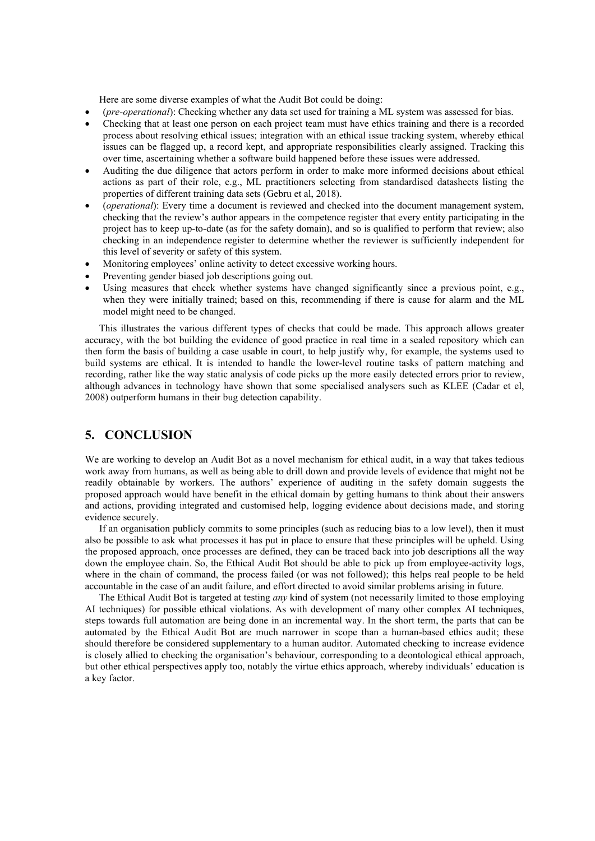Here are some diverse examples of what the Audit Bot could be doing:

- (pre-operational): Checking whether any data set used for training a ML system was assessed for bias.
- Checking that at least one person on each project team must have ethics training and there is a recorded process about resolving ethical issues; integration with an ethical issue tracking system, whereby ethical issues can be flagged up, a record kept, and appropriate responsibilities clearly assigned. Tracking this over time, ascertaining whether a software build happened before these issues were addressed.
- Auditing the due diligence that actors perform in order to make more informed decisions about ethical actions as part of their role, e.g., ML practitioners selecting from standardised datasheets listing the properties of different training data sets (Gebru et al, 2018).
- (operational): Every time a document is reviewed and checked into the document management system, checking that the review's author appears in the competence register that every entity participating in the project has to keep up-to-date (as for the safety domain), and so is qualified to perform that review; also checking in an independence register to determine whether the reviewer is sufficiently independent for this level of severity or safety of this system.
- Monitoring employees' online activity to detect excessive working hours.
- Preventing gender biased job descriptions going out.
- Using measures that check whether systems have changed significantly since a previous point, e.g., when they were initially trained; based on this, recommending if there is cause for alarm and the ML model might need to be changed.

This illustrates the various different types of checks that could be made. This approach allows greater accuracy, with the bot building the evidence of good practice in real time in a sealed repository which can then form the basis of building a case usable in court, to help justify why, for example, the systems used to build systems are ethical. It is intended to handle the lower-level routine tasks of pattern matching and recording, rather like the way static analysis of code picks up the more easily detected errors prior to review, although advances in technology have shown that some specialised analysers such as KLEE (Cadar et el, 2008) outperform humans in their bug detection capability.

# 5. CONCLUSION

We are working to develop an Audit Bot as a novel mechanism for ethical audit, in a way that takes tedious work away from humans, as well as being able to drill down and provide levels of evidence that might not be readily obtainable by workers. The authors' experience of auditing in the safety domain suggests the proposed approach would have benefit in the ethical domain by getting humans to think about their answers and actions, providing integrated and customised help, logging evidence about decisions made, and storing evidence securely.

If an organisation publicly commits to some principles (such as reducing bias to a low level), then it must also be possible to ask what processes it has put in place to ensure that these principles will be upheld. Using the proposed approach, once processes are defined, they can be traced back into job descriptions all the way down the employee chain. So, the Ethical Audit Bot should be able to pick up from employee-activity logs, where in the chain of command, the process failed (or was not followed); this helps real people to be held accountable in the case of an audit failure, and effort directed to avoid similar problems arising in future.

The Ethical Audit Bot is targeted at testing *any* kind of system (not necessarily limited to those employing AI techniques) for possible ethical violations. As with development of many other complex AI techniques, steps towards full automation are being done in an incremental way. In the short term, the parts that can be automated by the Ethical Audit Bot are much narrower in scope than a human-based ethics audit; these should therefore be considered supplementary to a human auditor. Automated checking to increase evidence is closely allied to checking the organisation's behaviour, corresponding to a deontological ethical approach, but other ethical perspectives apply too, notably the virtue ethics approach, whereby individuals' education is a key factor.